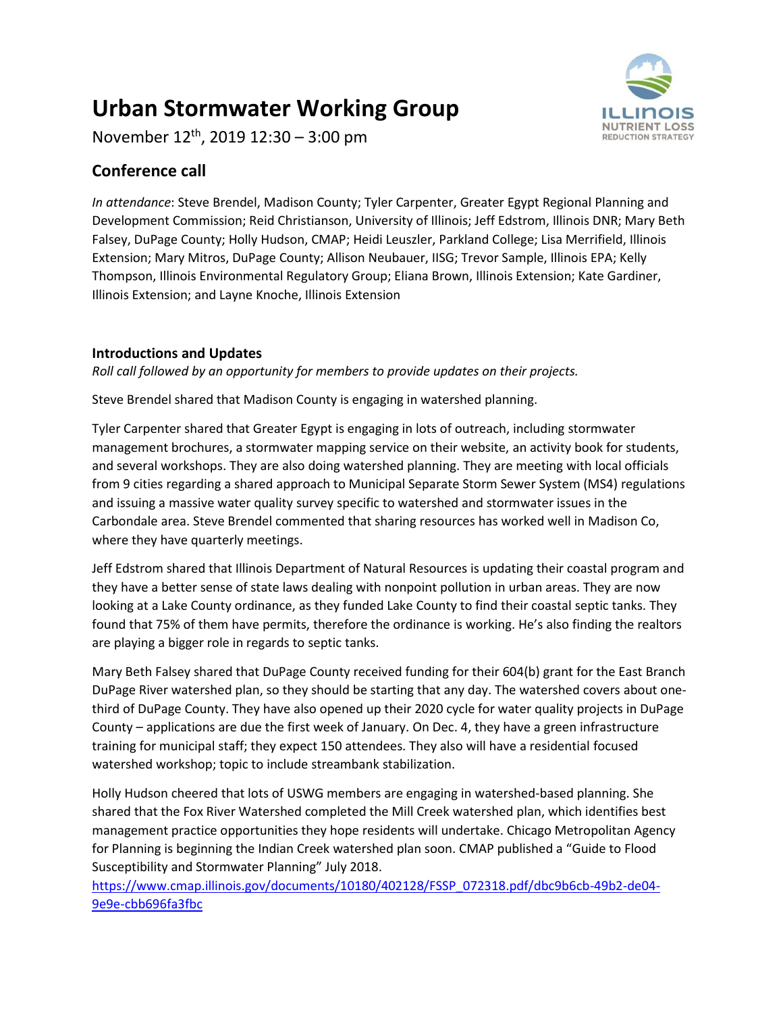# **Urban Stormwater Working Group**

November 12th, 2019 12:30 – 3:00 pm

## **Conference call**

*In attendance*: Steve Brendel, Madison County; Tyler Carpenter, Greater Egypt Regional Planning and Development Commission; Reid Christianson, University of Illinois; Jeff Edstrom, Illinois DNR; Mary Beth Falsey, DuPage County; Holly Hudson, CMAP; Heidi Leuszler, Parkland College; Lisa Merrifield, Illinois Extension; Mary Mitros, DuPage County; Allison Neubauer, IISG; Trevor Sample, Illinois EPA; Kelly Thompson, Illinois Environmental Regulatory Group; Eliana Brown, Illinois Extension; Kate Gardiner, Illinois Extension; and Layne Knoche, Illinois Extension

### **Introductions and Updates**

*Roll call followed by an opportunity for members to provide updates on their projects.*

Steve Brendel shared that Madison County is engaging in watershed planning.

Tyler Carpenter shared that Greater Egypt is engaging in lots of outreach, including stormwater management brochures, a stormwater mapping service on their website, an activity book for students, and several workshops. They are also doing watershed planning. They are meeting with local officials from 9 cities regarding a shared approach to Municipal Separate Storm Sewer System (MS4) regulations and issuing a massive water quality survey specific to watershed and stormwater issues in the Carbondale area. Steve Brendel commented that sharing resources has worked well in Madison Co, where they have quarterly meetings.

Jeff Edstrom shared that Illinois Department of Natural Resources is updating their coastal program and they have a better sense of state laws dealing with nonpoint pollution in urban areas. They are now looking at a Lake County ordinance, as they funded Lake County to find their coastal septic tanks. They found that 75% of them have permits, therefore the ordinance is working. He's also finding the realtors are playing a bigger role in regards to septic tanks.

Mary Beth Falsey shared that DuPage County received funding for their 604(b) grant for the East Branch DuPage River watershed plan, so they should be starting that any day. The watershed covers about onethird of DuPage County. They have also opened up their 2020 cycle for water quality projects in DuPage County – applications are due the first week of January. On Dec. 4, they have a green infrastructure training for municipal staff; they expect 150 attendees. They also will have a residential focused watershed workshop; topic to include streambank stabilization.

Holly Hudson cheered that lots of USWG members are engaging in watershed-based planning. She shared that the Fox River Watershed completed the Mill Creek watershed plan, which identifies best management practice opportunities they hope residents will undertake. Chicago Metropolitan Agency for Planning is beginning the Indian Creek watershed plan soon. CMAP published a "Guide to Flood Susceptibility and Stormwater Planning" July 2018.

[https://www.cmap.illinois.gov/documents/10180/402128/FSSP\\_072318.pdf/dbc9b6cb-49b2-de04-](https://www.cmap.illinois.gov/documents/10180/402128/FSSP_072318.pdf/dbc9b6cb-49b2-de04-9e9e-cbb696fa3fbc) [9e9e-cbb696fa3fbc](https://www.cmap.illinois.gov/documents/10180/402128/FSSP_072318.pdf/dbc9b6cb-49b2-de04-9e9e-cbb696fa3fbc)

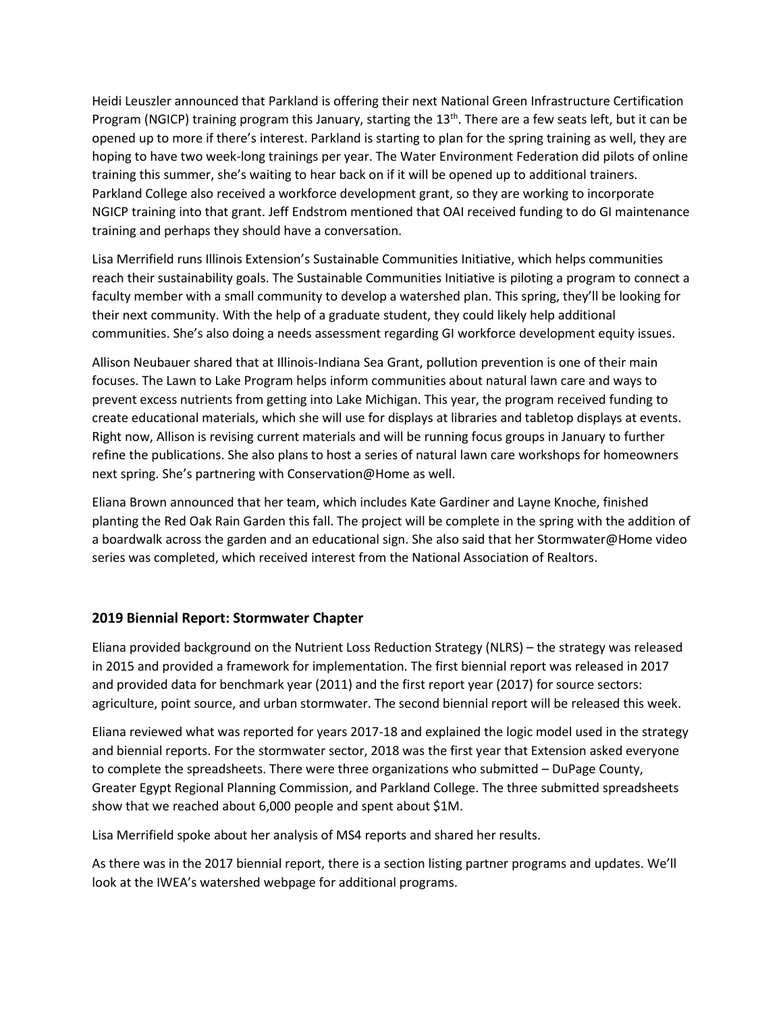Heidi Leuszler announced that Parkland is offering their next National Green Infrastructure Certification Program (NGICP) training program this January, starting the 13<sup>th</sup>. There are a few seats left, but it can be opened up to more if there's interest. Parkland is starting to plan for the spring training as well, they are hoping to have two week-long trainings per year. The Water Environment Federation did pilots of online training this summer, she's waiting to hear back on if it will be opened up to additional trainers. Parkland College also received a workforce development grant, so they are working to incorporate NGICP training into that grant. Jeff Endstrom mentioned that OAI received funding to do GI maintenance training and perhaps they should have a conversation.

Lisa Merrifield runs Illinois Extension's Sustainable Communities Initiative, which helps communities reach their sustainability goals. The Sustainable Communities Initiative is piloting a program to connect a faculty member with a small community to develop a watershed plan. This spring, they'll be looking for their next community. With the help of a graduate student, they could likely help additional communities. She's also doing a needs assessment regarding GI workforce development equity issues.

Allison Neubauer shared that at Illinois-Indiana Sea Grant, pollution prevention is one of their main focuses. The Lawn to Lake Program helps inform communities about natural lawn care and ways to prevent excess nutrients from getting into Lake Michigan. This year, the program received funding to create educational materials, which she will use for displays at libraries and tabletop displays at events. Right now, Allison is revising current materials and will be running focus groups in January to further refine the publications. She also plans to host a series of natural lawn care workshops for homeowners next spring. She's partnering with Conservation@Home as well.

Eliana Brown announced that her team, which includes Kate Gardiner and Layne Knoche, finished planting the Red Oak Rain Garden this fall. The project will be complete in the spring with the addition of a boardwalk across the garden and an educational sign. She also said that her Stormwater@Home video series was completed, which received interest from the National Association of Realtors.

#### **2019 Biennial Report: Stormwater Chapter**

Eliana provided background on the Nutrient Loss Reduction Strategy (NLRS) – the strategy was released in 2015 and provided a framework for implementation. The first biennial report was released in 2017 and provided data for benchmark year (2011) and the first report year (2017) for source sectors: agriculture, point source, and urban stormwater. The second biennial report will be released this week.

Eliana reviewed what was reported for years 2017-18 and explained the logic model used in the strategy and biennial reports. For the stormwater sector, 2018 was the first year that Extension asked everyone to complete the spreadsheets. There were three organizations who submitted – DuPage County, Greater Egypt Regional Planning Commission, and Parkland College. The three submitted spreadsheets show that we reached about 6,000 people and spent about \$1M.

Lisa Merrifield spoke about her analysis of MS4 reports and shared her results.

As there was in the 2017 biennial report, there is a section listing partner programs and updates. We'll look at the IWEA's watershed webpage for additional programs.